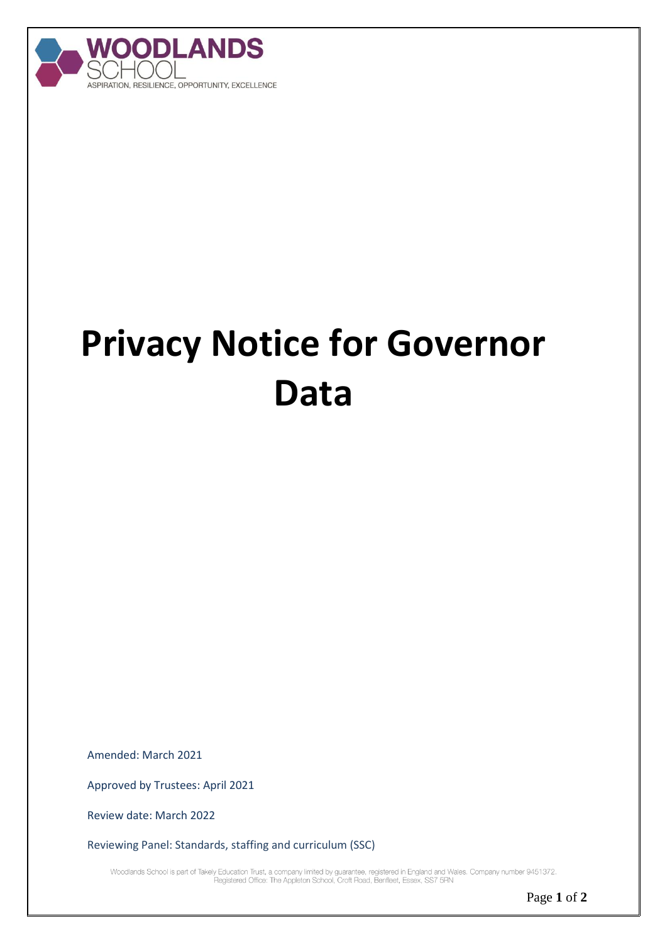

## **Privacy Notice for Governor Data**

Amended: March 2021

Approved by Trustees: April 2021

Review date: March 2022

Reviewing Panel: Standards, staffing and curriculum (SSC)

Woodlands School is part of Takely Education Trust, a company limited by guarantee, registered in England and Wales. Company number 9451372.<br>Registered Office: The Appleton School, Croft Road, Benfleet, Essex, SS7 5RN